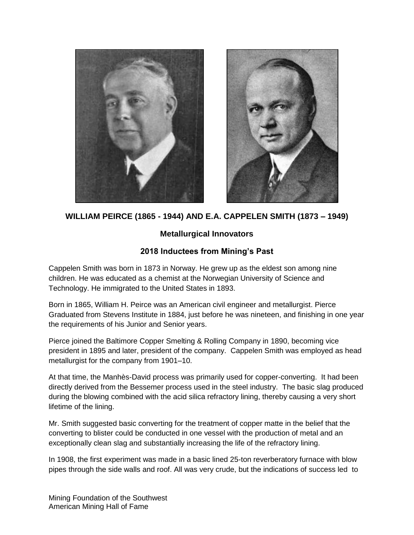



**WILLIAM PEIRCE (1865 - 1944) AND E.A. CAPPELEN SMITH (1873 – 1949)**

## **Metallurgical Innovators**

## **2018 Inductees from Mining's Past**

Cappelen Smith was born in 1873 in Norway. He grew up as the eldest son among nine children. He was educated as a chemist at the Norwegian University of Science and Technology. He immigrated to the United States in 1893.

Born in 1865, William H. Peirce was an American civil engineer and metallurgist. Pierce Graduated from Stevens Institute in 1884, just before he was nineteen, and finishing in one year the requirements of his Junior and Senior years.

Pierce joined the Baltimore Copper Smelting & Rolling Company in 1890, becoming vice president in 1895 and later, president of the company. Cappelen Smith was employed as head metallurgist for the company from 1901–10.

At that time, the Manhès-David process was primarily used for copper-converting. It had been directly derived from the Bessemer process used in the steel industry. The basic slag produced during the blowing combined with the acid silica refractory lining, thereby causing a very short lifetime of the lining.

Mr. Smith suggested basic converting for the treatment of copper matte in the belief that the converting to blister could be conducted in one vessel with the production of metal and an exceptionally clean slag and substantially increasing the life of the refractory lining.

In 1908, the first experiment was made in a basic lined 25-ton reverberatory furnace with blow pipes through the side walls and roof. All was very crude, but the indications of success led to